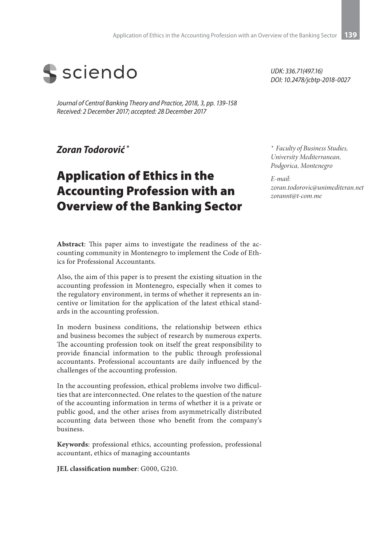

*Journal of Central Banking Theory and Practice, 2018, 3, pp. 139-158 Received: 2 December 2017; accepted: 28 December 2017*

### *Zoran Todorović \**

# Application of Ethics in the Accounting Profession with an Overview of the Banking Sector

**Abstract**: This paper aims to investigate the readiness of the accounting community in Montenegro to implement the Code of Ethics for Professional Accountants.

Also, the aim of this paper is to present the existing situation in the accounting profession in Montenegro, especially when it comes to the regulatory environment, in terms of whether it represents an incentive or limitation for the application of the latest ethical standards in the accounting profession.

In modern business conditions, the relationship between ethics and business becomes the subject of research by numerous experts. The accounting profession took on itself the great responsibility to provide financial information to the public through professional accountants. Professional accountants are daily influenced by the challenges of the accounting profession.

In the accounting profession, ethical problems involve two difficulties that are interconnected. One relates to the question of the nature of the accounting information in terms of whether it is a private or public good, and the other arises from asymmetrically distributed accounting data between those who benefit from the company's business.

**Keywords**: professional ethics, accounting profession, professional accountant, ethics of managing accountants

**JEL classification number**: G000, G210.

*UDK: 336.71(497.16) DOI: 10.2478/jcbtp-2018-0027*

*\* Faculty of Business Studies, University Mediterranean, Podgorica, Montenegro*

*E-mail: zoran.todorovic@unimediteran.net zorannt@t-com.me*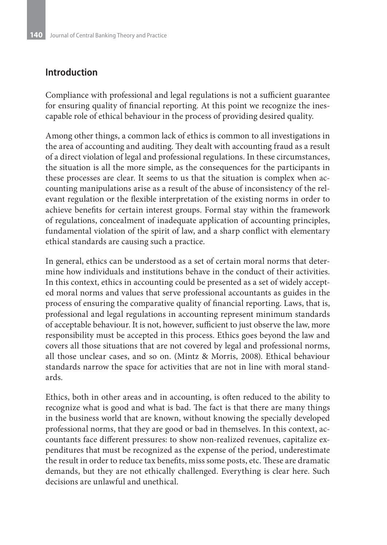### **Introduction**

Compliance with professional and legal regulations is not a sufficient guarantee for ensuring quality of financial reporting. At this point we recognize the inescapable role of ethical behaviour in the process of providing desired quality.

Among other things, a common lack of ethics is common to all investigations in the area of accounting and auditing. They dealt with accounting fraud as a result of a direct violation of legal and professional regulations. In these circumstances, the situation is all the more simple, as the consequences for the participants in these processes are clear. It seems to us that the situation is complex when accounting manipulations arise as a result of the abuse of inconsistency of the relevant regulation or the flexible interpretation of the existing norms in order to achieve benefits for certain interest groups. Formal stay within the framework of regulations, concealment of inadequate application of accounting principles, fundamental violation of the spirit of law, and a sharp conflict with elementary ethical standards are causing such a practice.

In general, ethics can be understood as a set of certain moral norms that determine how individuals and institutions behave in the conduct of their activities. In this context, ethics in accounting could be presented as a set of widely accepted moral norms and values that serve professional accountants as guides in the process of ensuring the comparative quality of financial reporting. Laws, that is, professional and legal regulations in accounting represent minimum standards of acceptable behaviour. It is not, however, sufficient to just observe the law, more responsibility must be accepted in this process. Ethics goes beyond the law and covers all those situations that are not covered by legal and professional norms, all those unclear cases, and so on. (Mintz & Morris, 2008). Ethical behaviour standards narrow the space for activities that are not in line with moral standards.

Ethics, both in other areas and in accounting, is often reduced to the ability to recognize what is good and what is bad. The fact is that there are many things in the business world that are known, without knowing the specially developed professional norms, that they are good or bad in themselves. In this context, accountants face different pressures: to show non-realized revenues, capitalize expenditures that must be recognized as the expense of the period, underestimate the result in order to reduce tax benefits, miss some posts, etc. These are dramatic demands, but they are not ethically challenged. Everything is clear here. Such decisions are unlawful and unethical.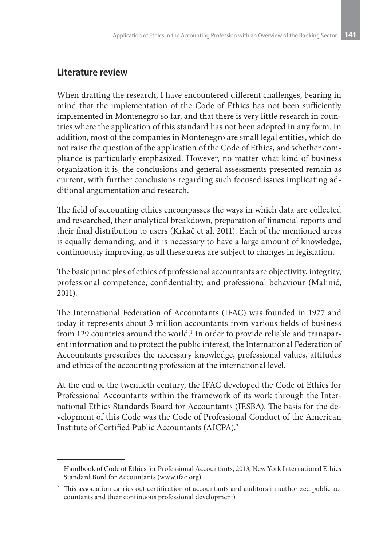### **Literature review**

When drafting the research, I have encountered different challenges, bearing in mind that the implementation of the Code of Ethics has not been sufficiently implemented in Montenegro so far, and that there is very little research in countries where the application of this standard has not been adopted in any form. In addition, most of the companies in Montenegro are small legal entities, which do not raise the question of the application of the Code of Ethics, and whether compliance is particularly emphasized. However, no matter what kind of business organization it is, the conclusions and general assessments presented remain as current, with further conclusions regarding such focused issues implicating additional argumentation and research.

The field of accounting ethics encompasses the ways in which data are collected and researched, their analytical breakdown, preparation of financial reports and their final distribution to users (Krkač et al, 2011). Each of the mentioned areas is equally demanding, and it is necessary to have a large amount of knowledge, continuously improving, as all these areas are subject to changes in legislation.

The basic principles of ethics of professional accountants are objectivity, integrity, professional competence, confidentiality, and professional behaviour (Malinić, 2011).

The International Federation of Accountants (IFAC) was founded in 1977 and today it represents about 3 million accountants from various fields of business from 129 countries around the world. $^{\rm l}$  In order to provide reliable and transparent information and to protect the public interest, the International Federation of Accountants prescribes the necessary knowledge, professional values, attitudes and ethics of the accounting profession at the international level.

At the end of the twentieth century, the IFAC developed the Code of Ethics for Professional Accountants within the framework of its work through the International Ethics Standards Board for Accountants (IESBA). The basis for the development of this Code was the Code of Professional Conduct of the American Institute of Certified Public Accountants (AICPA).2

<sup>&</sup>lt;sup>1</sup> Handbook of Code of Ethics for Professional Accountants, 2013, New York International Ethics Standard Bord for Accountants (www.ifac.org)

<sup>&</sup>lt;sup>2</sup> This association carries out certification of accountants and auditors in authorized public accountants and their continuous professional development)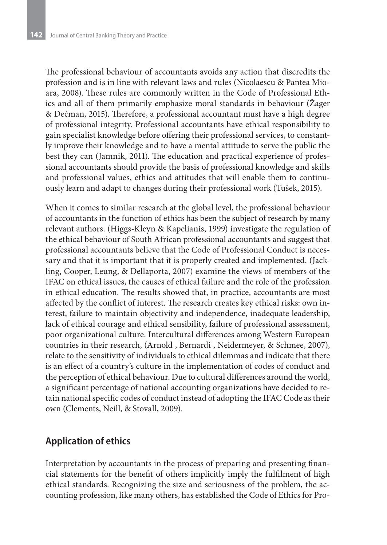The professional behaviour of accountants avoids any action that discredits the profession and is in line with relevant laws and rules (Nicolaescu & Pantea Mioara, 2008). These rules are commonly written in the Code of Professional Ethics and all of them primarily emphasize moral standards in behaviour (Žager & Dečman, 2015). Therefore, a professional accountant must have a high degree of professional integrity. Professional accountants have ethical responsibility to gain specialist knowledge before offering their professional services, to constantly improve their knowledge and to have a mental attitude to serve the public the best they can (Jamnik, 2011). The education and practical experience of professional accountants should provide the basis of professional knowledge and skills and professional values, ethics and attitudes that will enable them to continuously learn and adapt to changes during their professional work (Tušek, 2015).

When it comes to similar research at the global level, the professional behaviour of accountants in the function of ethics has been the subject of research by many relevant authors. (Higgs-Kleyn & Kapelianis, 1999) investigate the regulation of the ethical behaviour of South African professional accountants and suggest that professional accountants believe that the Code of Professional Conduct is necessary and that it is important that it is properly created and implemented. (Jackling, Cooper, Leung, & Dellaporta, 2007) examine the views of members of the IFAC on ethical issues, the causes of ethical failure and the role of the profession in ethical education. The results showed that, in practice, accountants are most affected by the conflict of interest. The research creates key ethical risks: own interest, failure to maintain objectivity and independence, inadequate leadership, lack of ethical courage and ethical sensibility, failure of professional assessment, poor organizational culture. Intercultural differences among Western European countries in their research, (Arnold , Bernardi , Neidermeyer, & Schmee, 2007), relate to the sensitivity of individuals to ethical dilemmas and indicate that there is an effect of a country's culture in the implementation of codes of conduct and the perception of ethical behaviour. Due to cultural differences around the world, a significant percentage of national accounting organizations have decided to retain national specific codes of conduct instead of adopting the IFAC Code as their own (Clements, Neill, & Stovall, 2009).

# **Application of ethics**

Interpretation by accountants in the process of preparing and presenting financial statements for the benefit of others implicitly imply the fulfilment of high ethical standards. Recognizing the size and seriousness of the problem, the accounting profession, like many others, has established the Code of Ethics for Pro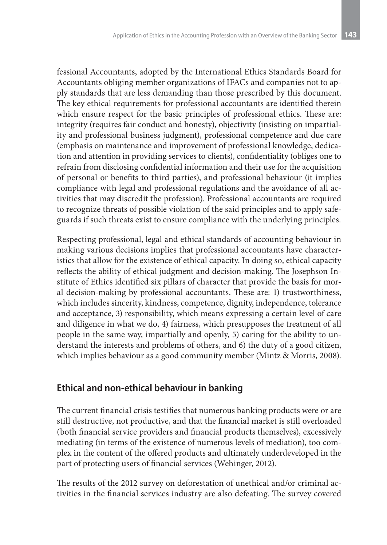fessional Accountants, adopted by the International Ethics Standards Board for Accountants obliging member organizations of IFACs and companies not to apply standards that are less demanding than those prescribed by this document. The key ethical requirements for professional accountants are identified therein which ensure respect for the basic principles of professional ethics. These are: integrity (requires fair conduct and honesty), objectivity (insisting on impartiality and professional business judgment), professional competence and due care (emphasis on maintenance and improvement of professional knowledge, dedication and attention in providing services to clients), confidentiality (obliges one to refrain from disclosing confidential information and their use for the acquisition of personal or benefits to third parties), and professional behaviour (it implies compliance with legal and professional regulations and the avoidance of all activities that may discredit the profession). Professional accountants are required to recognize threats of possible violation of the said principles and to apply safeguards if such threats exist to ensure compliance with the underlying principles.

Respecting professional, legal and ethical standards of accounting behaviour in making various decisions implies that professional accountants have characteristics that allow for the existence of ethical capacity. In doing so, ethical capacity reflects the ability of ethical judgment and decision-making. The Josephson Institute of Ethics identified six pillars of character that provide the basis for moral decision-making by professional accountants. These are: 1) trustworthiness, which includes sincerity, kindness, competence, dignity, independence, tolerance and acceptance, 3) responsibility, which means expressing a certain level of care and diligence in what we do, 4) fairness, which presupposes the treatment of all people in the same way, impartially and openly, 5) caring for the ability to understand the interests and problems of others, and 6) the duty of a good citizen, which implies behaviour as a good community member (Mintz & Morris, 2008).

### **Ethical and non-ethical behaviour in banking**

The current financial crisis testifies that numerous banking products were or are still destructive, not productive, and that the financial market is still overloaded (both financial service providers and financial products themselves), excessively mediating (in terms of the existence of numerous levels of mediation), too complex in the content of the offered products and ultimately underdeveloped in the part of protecting users of financial services (Wehinger, 2012).

The results of the 2012 survey on deforestation of unethical and/or criminal activities in the financial services industry are also defeating. The survey covered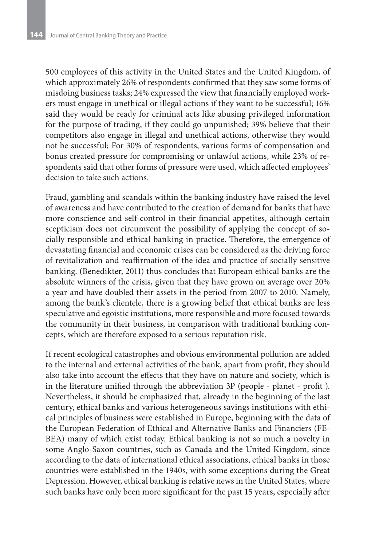500 employees of this activity in the United States and the United Kingdom, of which approximately 26% of respondents confirmed that they saw some forms of misdoing business tasks; 24% expressed the view that financially employed workers must engage in unethical or illegal actions if they want to be successful; 16% said they would be ready for criminal acts like abusing privileged information for the purpose of trading, if they could go unpunished; 39% believe that their competitors also engage in illegal and unethical actions, otherwise they would not be successful; For 30% of respondents, various forms of compensation and bonus created pressure for compromising or unlawful actions, while 23% of respondents said that other forms of pressure were used, which affected employees' decision to take such actions.

Fraud, gambling and scandals within the banking industry have raised the level of awareness and have contributed to the creation of demand for banks that have more conscience and self-control in their financial appetites, although certain scepticism does not circumvent the possibility of applying the concept of socially responsible and ethical banking in practice. Therefore, the emergence of devastating financial and economic crises can be considered as the driving force of revitalization and reaffirmation of the idea and practice of socially sensitive banking. (Benedikter, 2011) thus concludes that European ethical banks are the absolute winners of the crisis, given that they have grown on average over 20% a year and have doubled their assets in the period from 2007 to 2010. Namely, among the bank's clientele, there is a growing belief that ethical banks are less speculative and egoistic institutions, more responsible and more focused towards the community in their business, in comparison with traditional banking concepts, which are therefore exposed to a serious reputation risk.

If recent ecological catastrophes and obvious environmental pollution are added to the internal and external activities of the bank, apart from profit, they should also take into account the effects that they have on nature and society, which is in the literature unified through the abbreviation 3P (people - planet - profit ). Nevertheless, it should be emphasized that, already in the beginning of the last century, ethical banks and various heterogeneous savings institutions with ethical principles of business were established in Europe, beginning with the data of the European Federation of Ethical and Alternative Banks and Financiers (FE-BEA) many of which exist today. Ethical banking is not so much a novelty in some Anglo-Saxon countries, such as Canada and the United Kingdom, since according to the data of international ethical associations, ethical banks in those countries were established in the 1940s, with some exceptions during the Great Depression. However, ethical banking is relative news in the United States, where such banks have only been more significant for the past 15 years, especially after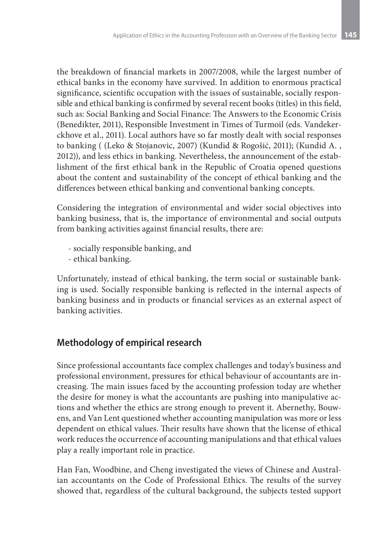the breakdown of financial markets in 2007/2008, while the largest number of ethical banks in the economy have survived. In addition to enormous practical significance, scientific occupation with the issues of sustainable, socially responsible and ethical banking is confirmed by several recent books (titles) in this field, such as: Social Banking and Social Finance: The Answers to the Economic Crisis (Benedikter, 2011), Responsible Investment in Times of Turmoil (eds. Vandekerckhove et al., 2011). Local authors have so far mostly dealt with social responses to banking ( (Leko & Stojanovic, 2007) (Kundid & Rogošić, 2011); (Kundid A. , 2012)), and less ethics in banking. Nevertheless, the announcement of the establishment of the first ethical bank in the Republic of Croatia opened questions about the content and sustainability of the concept of ethical banking and the differences between ethical banking and conventional banking concepts.

Considering the integration of environmental and wider social objectives into banking business, that is, the importance of environmental and social outputs from banking activities against financial results, there are:

- socially responsible banking, and
- ethical banking.

Unfortunately, instead of ethical banking, the term social or sustainable banking is used. Socially responsible banking is reflected in the internal aspects of banking business and in products or financial services as an external aspect of banking activities.

# **Methodology of empirical research**

Since professional accountants face complex challenges and today's business and professional environment, pressures for ethical behaviour of accountants are increasing. The main issues faced by the accounting profession today are whether the desire for money is what the accountants are pushing into manipulative actions and whether the ethics are strong enough to prevent it. Abernethy, Bouwens, and Van Lent questioned whether accounting manipulation was more or less dependent on ethical values. Their results have shown that the license of ethical work reduces the occurrence of accounting manipulations and that ethical values play a really important role in practice.

Han Fan, Woodbine, and Cheng investigated the views of Chinese and Australian accountants on the Code of Professional Ethics. The results of the survey showed that, regardless of the cultural background, the subjects tested support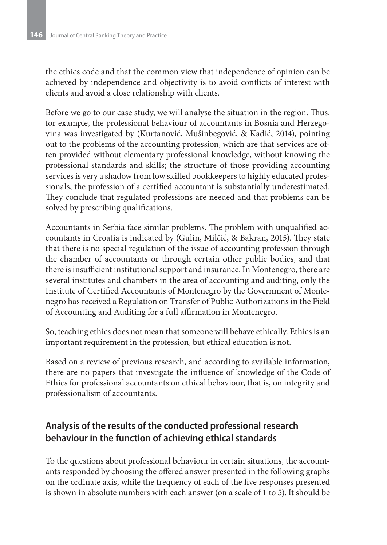the ethics code and that the common view that independence of opinion can be achieved by independence and objectivity is to avoid conflicts of interest with clients and avoid a close relationship with clients.

Before we go to our case study, we will analyse the situation in the region. Thus, for example, the professional behaviour of accountants in Bosnia and Herzegovina was investigated by (Kurtаnović, Mušinbegović, & Kadić, 2014), pointing out to the problems of the accounting profession, which are that services are often provided without elementary professional knowledge, without knowing the professional standards and skills; the structure of those providing accounting services is very a shadow from low skilled bookkeepers to highly educated professionals, the profession of a certified accountant is substantially underestimated. They conclude that regulated professions are needed and that problems can be solved by prescribing qualifications.

Accountants in Serbia face similar problems. The problem with unqualified accountants in Croatia is indicated by (Gulin, Milčić, & Bakran, 2015). They state that there is no special regulation of the issue of accounting profession through the chamber of accountants or through certain other public bodies, and that there is insufficient institutional support and insurance. In Montenegro, there are several institutes and chambers in the area of accounting and auditing, only the Institute of Certified Accountants of Montenegro by the Government of Montenegro has received a Regulation on Transfer of Public Authorizations in the Field of Accounting and Auditing for a full affirmation in Montenegro.

So, teaching ethics does not mean that someone will behave ethically. Ethics is an important requirement in the profession, but ethical education is not.

Based on a review of previous research, and according to available information, there are no papers that investigate the influence of knowledge of the Code of Ethics for professional accountants on ethical behaviour, that is, on integrity and professionalism of accountants.

# **Analysis of the results of the conducted professional research behaviour in the function of achieving ethical standards**

To the questions about professional behaviour in certain situations, the accountants responded by choosing the offered answer presented in the following graphs on the ordinate axis, while the frequency of each of the five responses presented is shown in absolute numbers with each answer (on a scale of 1 to 5). It should be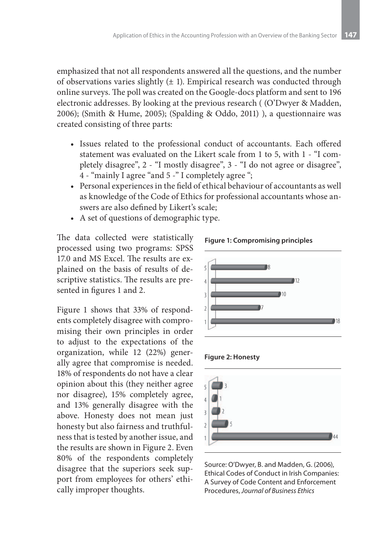emphasized that not all respondents answered all the questions, and the number of observations varies slightly  $(\pm 1)$ . Empirical research was conducted through online surveys. The poll was created on the Google-docs platform and sent to 196 electronic addresses. By looking at the previous research ( (O'Dwyer & Madden, 2006); (Smith & Hume, 2005); (Spalding & Oddo, 2011) ), a questionnaire was created consisting of three parts:

- • Issues related to the professional conduct of accountants. Each offered statement was evaluated on the Likert scale from 1 to 5, with 1 - "I completely disagree", 2 - "I mostly disagree", 3 - "I do not agree or disagree", 4 - "mainly I agree "and 5 -" I completely agree ";
- • Personal experiences in the field of ethical behaviour of accountants as well as knowledge of the Code of Ethics for professional accountants whose answers are also defined by Likert's scale;
- • A set of questions of demographic type.

The data collected were statistically processed using two programs: SPSS 17.0 and MS Excel. The results are explained on the basis of results of descriptive statistics. The results are presented in figures 1 and 2.

Figure 1 shows that 33% of respondents completely disagree with compromising their own principles in order to adjust to the expectations of the organization, while 12 (22%) generally agree that compromise is needed. 18% of respondents do not have a clear opinion about this (they neither agree nor disagree), 15% completely agree, and 13% generally disagree with the above. Honesty does not mean just honesty but also fairness and truthfulness that is tested by another issue, and the results are shown in Figure 2. Even 80% of the respondents completely disagree that the superiors seek support from employees for others' ethically improper thoughts.







Source: O'Dwyer, B. and Madden, G. (2006), Ethical Codes of Conduct in Irish Companies: A Survey of Code Content and Enforcement Procedures, *Journal of Business Ethics*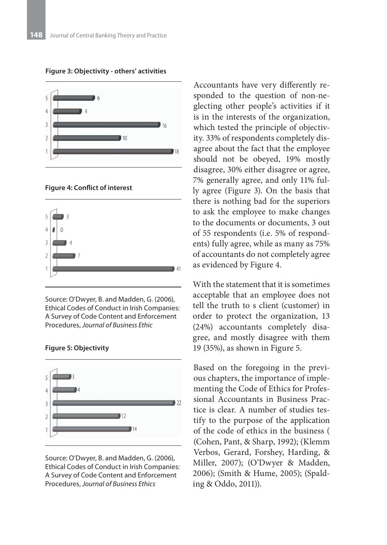

**Figure 3: Objectivity - others' activities**

#### **Figure 4: Conflict of interest**



Source: O'Dwyer, B. and Madden, G. (2006), Ethical Codes of Conduct in Irish Companies: A Survey of Code Content and Enforcement Procedures, *Journal of Business Ethic*





Source: O'Dwyer, B. and Madden, G. (2006), Ethical Codes of Conduct in Irish Companies: A Survey of Code Content and Enforcement Procedures, *Journal of Business Ethics*

Accountants have very differently responded to the question of non-neglecting other people's activities if it is in the interests of the organization, which tested the principle of objectivity. 33% of respondents completely disagree about the fact that the employee should not be obeyed, 19% mostly disagree, 30% either disagree or agree, 7% generally agree, and only 11% fully agree (Figure 3). On the basis that there is nothing bad for the superiors to ask the employee to make changes to the documents or documents, 3 out of 55 respondents (i.e. 5% of respondents) fully agree, while as many as 75% of accountants do not completely agree as evidenced by Figure 4.

With the statement that it is sometimes acceptable that an employee does not tell the truth to s client (customer) in order to protect the organization, 13 (24%) accountants completely disagree, and mostly disagree with them 19 (35%), as shown in Figure 5.

Based on the foregoing in the previous chapters, the importance of implementing the Code of Ethics for Professional Accountants in Business Practice is clear. A number of studies testify to the purpose of the application of the code of ethics in the business ( (Cohen, Pant, & Sharp, 1992); (Klemm Verbos, Gerard, Forshey, Harding, & Miller, 2007); (O'Dwyer & Madden, 2006); (Smith & Hume, 2005); (Spalding & Oddo, 2011)).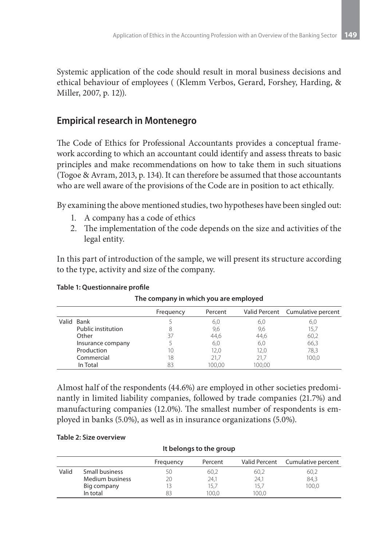Systemic application of the code should result in moral business decisions and ethical behaviour of employees ( (Klemm Verbos, Gerard, Forshey, Harding, & Miller, 2007, p. 12)).

### **Empirical research in Montenegro**

The Code of Ethics for Professional Accountants provides a conceptual framework according to which an accountant could identify and assess threats to basic principles and make recommendations on how to take them in such situations (Togoe & Avram, 2013, p. 134). It can therefore be assumed that those accountants who are well aware of the provisions of the Code are in position to act ethically.

By examining the above mentioned studies, two hypotheses have been singled out:

- 1. A company has a code of ethics
- 2. The implementation of the code depends on the size and activities of the legal entity.

In this part of introduction of the sample, we will present its structure according to the type, activity and size of the company.

|                    | Frequency | Percent |        | Valid Percent Cumulative percent |
|--------------------|-----------|---------|--------|----------------------------------|
| Valid Bank         |           | 6,0     | 6,0    | 6,0                              |
| Public institution |           | 9,6     | 9,6    | 15,7                             |
| Other              |           | 44,6    | 44,6   | 60,2                             |
| Insurance company  |           | 6,0     | 6,0    | 66,3                             |
| Production         | 10        | 12,0    | 12,0   | 78,3                             |
| Commercial         | 18        | 21.7    | 21.7   | 100.0                            |
| In Total           | 83        | 100.00  | 100.00 |                                  |

#### **Table 1: Questionnaire profile**

### **The company in which you are employed**

Almost half of the respondents (44.6%) are employed in other societies predominantly in limited liability companies, followed by trade companies (21.7%) and manufacturing companies (12.0%). The smallest number of respondents is employed in banks (5.0%), as well as in insurance organizations (5.0%).

#### **Table 2: Size overview**

| It belongs to the group |                 |           |         |       |                                  |  |
|-------------------------|-----------------|-----------|---------|-------|----------------------------------|--|
|                         |                 | Frequency | Percent |       | Valid Percent Cumulative percent |  |
| Valid                   | Small business  | 50        | 60,2    | 60,2  | 60,2                             |  |
|                         | Medium business | 20        | 24.1    | 24.1  | 84,3                             |  |
|                         | Big company     |           | 15.7    | 15.7  | 100.0                            |  |
|                         | In total        | ЯR        | 100.0   | 100.0 |                                  |  |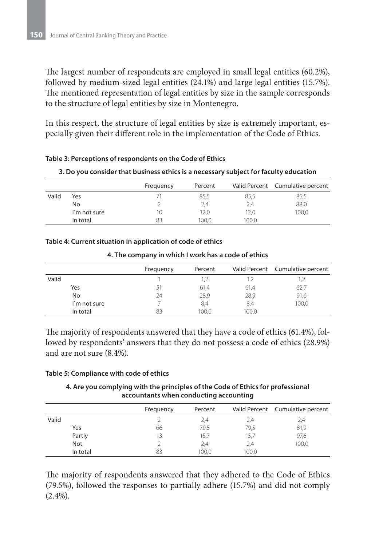The largest number of respondents are employed in small legal entities (60.2%), followed by medium-sized legal entities (24.1%) and large legal entities (15.7%). The mentioned representation of legal entities by size in the sample corresponds to the structure of legal entities by size in Montenegro.

In this respect, the structure of legal entities by size is extremely important, especially given their different role in the implementation of the Code of Ethics.

#### **Table 3: Perceptions of respondents on the Code of Ethics**

#### **3. Do you consider that business ethics is a necessary subject for faculty education**

|       |              | Frequency | Percent |       | Valid Percent Cumulative percent |
|-------|--------------|-----------|---------|-------|----------------------------------|
| Valid | Yes          |           | 85,5    | 85,5  | 85,5                             |
|       | No           |           | 2,4     | 2,4   | 88,0                             |
|       | I'm not sure | 10        | 12,0    | 12,0  | 100,0                            |
|       | In total     | 83        | 100.0   | 100.0 |                                  |

#### **Table 4: Current situation in application of code of ethics**

| 4. The company in which I work has a code of ethics |  |
|-----------------------------------------------------|--|
|-----------------------------------------------------|--|

|              | Frequency | Percent |       | Valid Percent Cumulative percent |
|--------------|-----------|---------|-------|----------------------------------|
| Valid        |           |         |       |                                  |
| Yes          |           | 61,4    | 61,4  | 62,7                             |
| No           | 24        | 28,9    | 28,9  | 91,6                             |
| I'm not sure |           | 8,4     | 8,4   | 100,0                            |
| In total     | 83        | 100.0   | 100,0 |                                  |

The majority of respondents answered that they have a code of ethics (61.4%), followed by respondents' answers that they do not possess a code of ethics (28.9%) and are not sure (8.4%).

#### **Table 5: Compliance with code of ethics**

**4. Are you complying with the principles of the Code of Ethics for professional accountants when conducting accounting**

|          | Frequency | Percent |       | Valid Percent Cumulative percent |
|----------|-----------|---------|-------|----------------------------------|
| Valid    |           | 2,4     | 2,4   | 2,4                              |
| Yes      | 66        | 79,5    | 79,5  | 81,9                             |
| Partly   | 13        | 15,7    | 15,7  | 97,6                             |
| Not      |           | 2,4     | 2,4   | 100,0                            |
| In total | 83        | 100.0   | 100.0 |                                  |

The majority of respondents answered that they adhered to the Code of Ethics (79.5%), followed the responses to partially adhere (15.7%) and did not comply  $(2.4\%).$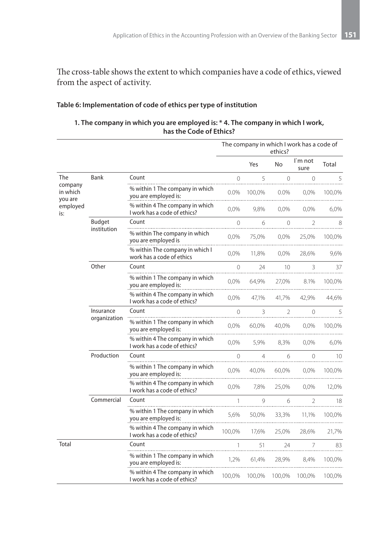The cross-table shows the extent to which companies have a code of ethics, viewed from the aspect of activity.

#### **Table 6: Implementation of code of ethics per type of institution**

#### **1. The company in which you are employed is: \* 4. The company in which I work, has the Code of Ethics?**

|                                |                           |                                                                 | The company in which I work has a code of<br>ethics? |                |                 |                 |                 |
|--------------------------------|---------------------------|-----------------------------------------------------------------|------------------------------------------------------|----------------|-----------------|-----------------|-----------------|
|                                |                           |                                                                 |                                                      | Yes            | No              | I`m not<br>sure | Total           |
| The                            | Bank                      | Count                                                           | $\Omega$                                             | 5              | $\Omega$        | $\Omega$        | 5               |
| company<br>in which<br>you are |                           | % within 1 The company in which<br>you are employed is:         | $0.0\%$                                              | 100,0%         | $0.0\%$         | 0,0%            | 100,0%          |
| employed<br>is:                |                           | % within 4 The company in which<br>I work has a code of ethics? | $0.0\%$                                              | 9,8%           | $0.0\%$         | 0.0%            | 6,0%            |
|                                | <b>Budget</b>             | Count                                                           | $\Omega$                                             | 6              | $\Omega$        | $\mathcal{P}$   | 8               |
|                                | institution               | % within The company in which<br>you are employed is            | 0,0%                                                 | 75,0%          | 0,0%            | 25,0%           | 100,0%          |
|                                |                           | % within The company in which I<br>work has a code of ethics    | 0,0%                                                 | 11,8%          | 0,0%            | 28,6%           | 9,6%            |
|                                | Other                     | Count                                                           | $\Omega$                                             | 24             | 10 <sup>2</sup> | 3               | 37              |
|                                |                           | % within 1 The company in which<br>you are employed is:         | 0,0%                                                 | 64,9%          | 27,0%           | 8.1%            | 100,0%          |
|                                |                           | % within 4 The company in which<br>I work has a code of ethics? | 0,0%                                                 | 47,1%          | 41,7%           | 42,9%           | 44,6%           |
|                                | Insurance<br>organization | Count                                                           | $\Omega$                                             | 3              | $\overline{2}$  | $\Omega$        | 5               |
|                                |                           | % within 1 The company in which<br>you are employed is:         | 0,0%                                                 | 60,0%          | 40,0%           | 0,0%            | 100,0%          |
|                                |                           | % within 4 The company in which<br>I work has a code of ethics? | 0,0%                                                 | 5,9%           | 8,3%            | 0,0%            | 6,0%            |
|                                | Production                | Count                                                           | $\Omega$                                             | $\overline{4}$ | 6               | $\Omega$        | 10 <sup>°</sup> |
|                                |                           | % within 1 The company in which<br>you are employed is:         | 0,0%                                                 | 40,0%          | 60,0%           | 0,0%            | 100,0%          |
|                                |                           | % within 4 The company in which<br>I work has a code of ethics? | 0,0%                                                 | 7,8%           | 25,0%           | 0,0%            | 12,0%           |
|                                | Commercial                | Count                                                           | 1                                                    | 9              | 6               | 2               | 18              |
|                                |                           | % within 1 The company in which<br>you are employed is:         | 5,6%                                                 | 50,0%          | 33,3%           | 11,1%           | 100,0%          |
|                                |                           | % within 4 The company in which<br>I work has a code of ethics? | 100,0%                                               | 17,6%          | 25,0%           | 28,6%           | 21,7%           |
| Total                          |                           | Count                                                           | 1                                                    | 51             | 24              | 7               | 83              |
|                                |                           | % within 1 The company in which<br>you are employed is:         | 1.2%                                                 | 61.4%          | 28,9%           | 8.4%            | 100,0%          |
|                                |                           | % within 4 The company in which<br>I work has a code of ethics? | 100,0%                                               | 100,0%         | 100,0%          | 100,0%          | 100,0%          |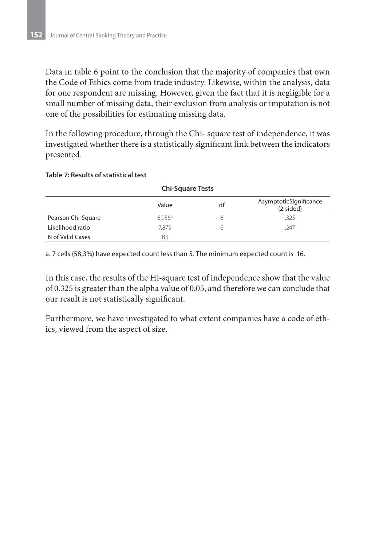Data in table 6 point to the conclusion that the majority of companies that own the Code of Ethics come from trade industry. Likewise, within the analysis, data for one respondent are missing. However, given the fact that it is negligible for a small number of missing data, their exclusion from analysis or imputation is not one of the possibilities for estimating missing data.

In the following procedure, through the Chi- square test of independence, it was investigated whether there is a statistically significant link between the indicators presented.

#### **Table 7: Results of statistical test**

| <b>Chi-Square Tests</b> |        |    |                                       |  |  |  |
|-------------------------|--------|----|---------------------------------------|--|--|--|
|                         | Value  | df | AsymptoticSignificance<br>$(2-sided)$ |  |  |  |
| Pearson Chi-Square      | 6.956a | h  | ,325                                  |  |  |  |
| Likelihood ratio        | 7.879  | h  | ,247                                  |  |  |  |
| N of Valid Cases        | 83     |    |                                       |  |  |  |

a. 7 cells (58,3%) have expected count less than 5. The minimum expected count is 16.

In this case, the results of the Hi-square test of independence show that the value of 0.325 is greater than the alpha value of 0.05, and therefore we can conclude that our result is not statistically significant.

Furthermore, we have investigated to what extent companies have a code of ethics, viewed from the aspect of size.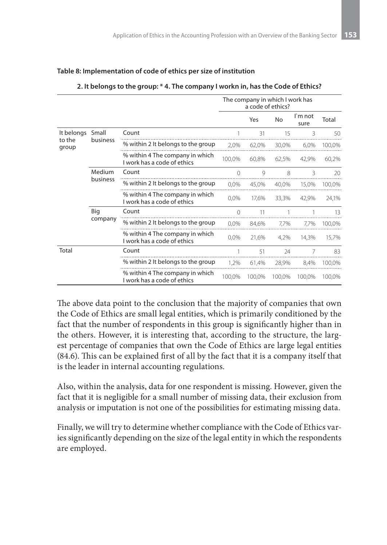|                 |                    |                                                                | The company in which I work has<br>a code of ethics? |        |        |                 |        |
|-----------------|--------------------|----------------------------------------------------------------|------------------------------------------------------|--------|--------|-----------------|--------|
|                 |                    |                                                                |                                                      | Yes    | No     | I'm not<br>sure | Total  |
| It belongs      | Small              | Count                                                          |                                                      | 31     | 15     | 3               | 50     |
| to the<br>group | business           | % within 2 It belongs to the group                             | 2,0%                                                 | 62,0%  | 30,0%  | 6,0%            | 100,0% |
|                 |                    | % within 4 The company in which<br>I work has a code of ethics | 100,0%                                               | 60,8%  | 62,5%  | 42,9%           | 60,2%  |
|                 | Medium<br>business | Count                                                          | $\Omega$                                             | 9      | 8      | 3               | 20     |
|                 |                    | % within 2 It belongs to the group                             | 0,0%                                                 | 45,0%  | 40,0%  | 15,0%           | 100,0% |
|                 |                    | % within 4 The company in which<br>I work has a code of ethics | 0,0%                                                 | 17,6%  | 33,3%  | 42,9%           | 24,1%  |
|                 | Big<br>company     | Count                                                          | $\Omega$                                             | 11     |        |                 | 13     |
|                 |                    | % within 2 It belongs to the group                             | 0,0%                                                 | 84,6%  | 7,7%   | 7,7%            | 100,0% |
|                 |                    | % within 4 The company in which<br>I work has a code of ethics | 0,0%                                                 | 21,6%  | 4,2%   | 14,3%           | 15,7%  |
| Total           |                    | Count                                                          |                                                      | 51     | 24     |                 | 83     |
|                 |                    | % within 2 It belongs to the group                             | 1.2%                                                 | 61.4%  | 28,9%  | 8.4%            | 100,0% |
|                 |                    | % within 4 The company in which<br>I work has a code of ethics | 100,0%                                               | 100,0% | 100,0% | 100.0%          | 100,0% |

#### **Table 8: Implementation of code of ethics per size of institution**

**2. It belongs to the group: \* 4. The company I workn in, has the Code of Ethics?**

The above data point to the conclusion that the majority of companies that own the Code of Ethics are small legal entities, which is primarily conditioned by the fact that the number of respondents in this group is significantly higher than in the others. However, it is interesting that, according to the structure, the largest percentage of companies that own the Code of Ethics are large legal entities (84.6). This can be explained first of all by the fact that it is a company itself that is the leader in internal accounting regulations.

Also, within the analysis, data for one respondent is missing. However, given the fact that it is negligible for a small number of missing data, their exclusion from analysis or imputation is not one of the possibilities for estimating missing data.

Finally, we will try to determine whether compliance with the Code of Ethics varies significantly depending on the size of the legal entity in which the respondents are employed.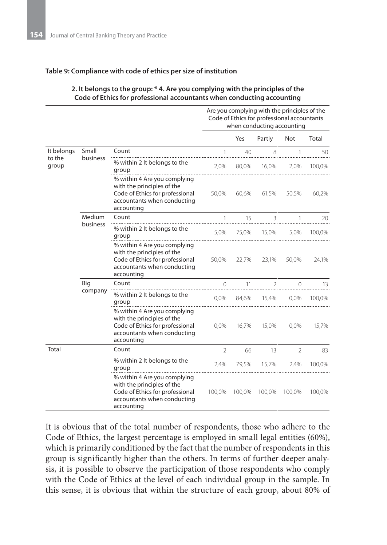#### **Table 9: Compliance with code of ethics per size of institution**

#### **2. It belongs to the group: \* 4. Are you complying with the principles of the Code of Ethics for professional accountants when conducting accounting**

|                 |          |                                                                                                                                            | Are you complying with the principles of the<br>Code of Ethics for professional accountants<br>when conducting accounting |        |                          |                |        |
|-----------------|----------|--------------------------------------------------------------------------------------------------------------------------------------------|---------------------------------------------------------------------------------------------------------------------------|--------|--------------------------|----------------|--------|
|                 |          |                                                                                                                                            |                                                                                                                           | Yes    | Partly                   | <b>Not</b>     | Total  |
| It belongs      | Small    | Count                                                                                                                                      |                                                                                                                           | 40     | 8                        |                | 50     |
| to the<br>group | business | % within 2 It belongs to the<br>group                                                                                                      | 2,0%                                                                                                                      | 80,0%  | 16,0%                    | 2,0%           | 100,0% |
|                 |          | % within 4 Are you complying<br>with the principles of the<br>Code of Ethics for professional<br>accountants when conducting<br>accounting | 50,0%                                                                                                                     | 60.6%  | 61,5%                    | 50,5%          | 60,2%  |
|                 | Medium   | Count                                                                                                                                      |                                                                                                                           | 15     | 3                        |                | 20     |
|                 | business | % within 2 It belongs to the<br>group                                                                                                      | 5.0%                                                                                                                      |        | 75,0% 15,0%              | 5.0%           | 100.0% |
|                 |          | % within 4 Are you complying<br>with the principles of the<br>Code of Ethics for professional<br>accountants when conducting<br>accounting | 50,0%                                                                                                                     | 22,7%  | 23,1%                    | 50,0%          | 24,1%  |
|                 | Big      | Count                                                                                                                                      | $\Omega$                                                                                                                  | 11     | $\overline{\phantom{a}}$ | $\bigcap$      | 13     |
|                 | company  | % within 2 It belongs to the<br>group                                                                                                      | $0.0\%$                                                                                                                   | 84,6%  | 15,4%                    | $0.0\%$        | 100.0% |
|                 |          | % within 4 Are you complying<br>with the principles of the<br>Code of Ethics for professional<br>accountants when conducting<br>accounting | $0.0\%$                                                                                                                   | 16,7%  | 15,0%                    | 0,0%           | 15,7%  |
| Total           |          | Count                                                                                                                                      | $\mathcal{P}$                                                                                                             | 66     | 13                       | $\mathfrak{D}$ | 83     |
|                 |          | % within 2 It belongs to the<br>group                                                                                                      | 2,4%                                                                                                                      | 79,5%  | 15,7%                    | 2,4%           | 100,0% |
|                 |          | % within 4 Are you complying<br>with the principles of the<br>Code of Ethics for professional<br>accountants when conducting<br>accounting | 100,0%                                                                                                                    | 100.0% | 100.0%                   | 100,0%         | 100,0% |

It is obvious that of the total number of respondents, those who adhere to the Code of Ethics, the largest percentage is employed in small legal entities (60%), which is primarily conditioned by the fact that the number of respondents in this group is significantly higher than the others. In terms of further deeper analysis, it is possible to observe the participation of those respondents who comply with the Code of Ethics at the level of each individual group in the sample. In this sense, it is obvious that within the structure of each group, about 80% of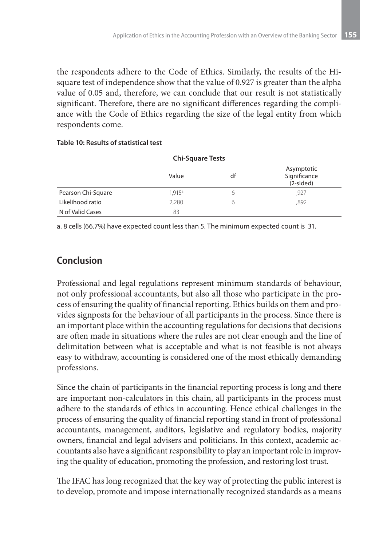the respondents adhere to the Code of Ethics. Similarly, the results of the Hisquare test of independence show that the value of 0.927 is greater than the alpha value of 0.05 and, therefore, we can conclude that our result is not statistically significant. Therefore, there are no significant differences regarding the compliance with the Code of Ethics regarding the size of the legal entity from which respondents come.

| <b>Chi-Square Tests</b> |                 |    |                                           |  |  |  |
|-------------------------|-----------------|----|-------------------------------------------|--|--|--|
|                         | Value           | df | Asymptotic<br>Significance<br>$(2-sided)$ |  |  |  |
| Pearson Chi-Square      | $1.915^{\circ}$ | ь  | .927                                      |  |  |  |
| Likelihood ratio        | 2.280           | 6  | .892                                      |  |  |  |
| N of Valid Cases        | 83              |    |                                           |  |  |  |

#### **Table 10: Results of statistical test**

a. 8 cells (66.7%) have expected count less than 5. The minimum expected count is 31.

# **Conclusion**

Professional and legal regulations represent minimum standards of behaviour, not only professional accountants, but also all those who participate in the process of ensuring the quality of financial reporting. Ethics builds on them and provides signposts for the behaviour of all participants in the process. Since there is an important place within the accounting regulations for decisions that decisions are often made in situations where the rules are not clear enough and the line of delimitation between what is acceptable and what is not feasible is not always easy to withdraw, accounting is considered one of the most ethically demanding professions.

Since the chain of participants in the financial reporting process is long and there are important non-calculators in this chain, all participants in the process must adhere to the standards of ethics in accounting. Hence ethical challenges in the process of ensuring the quality of financial reporting stand in front of professional accountants, management, auditors, legislative and regulatory bodies, majority owners, financial and legal advisers and politicians. In this context, academic accountants also have a significant responsibility to play an important role in improving the quality of education, promoting the profession, and restoring lost trust.

The IFAC has long recognized that the key way of protecting the public interest is to develop, promote and impose internationally recognized standards as a means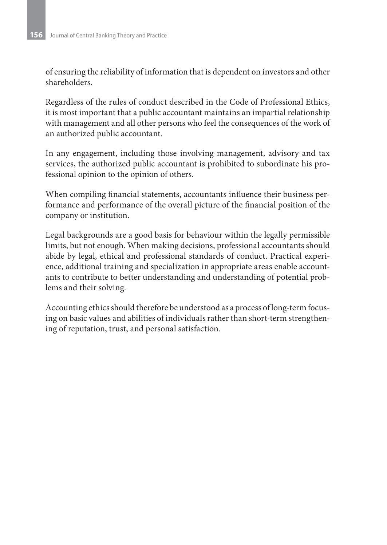of ensuring the reliability of information that is dependent on investors and other shareholders.

Regardless of the rules of conduct described in the Code of Professional Ethics, it is most important that a public accountant maintains an impartial relationship with management and all other persons who feel the consequences of the work of an authorized public accountant.

In any engagement, including those involving management, advisory and tax services, the authorized public accountant is prohibited to subordinate his professional opinion to the opinion of others.

When compiling financial statements, accountants influence their business performance and performance of the overall picture of the financial position of the company or institution.

Legal backgrounds are a good basis for behaviour within the legally permissible limits, but not enough. When making decisions, professional accountants should abide by legal, ethical and professional standards of conduct. Practical experience, additional training and specialization in appropriate areas enable accountants to contribute to better understanding and understanding of potential problems and their solving.

Accounting ethics should therefore be understood as a process of long-term focusing on basic values and abilities of individuals rather than short-term strengthening of reputation, trust, and personal satisfaction.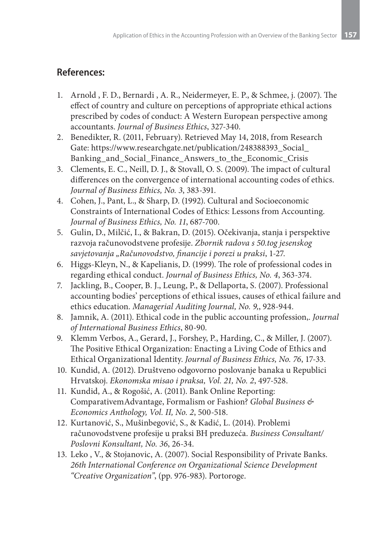## **References:**

- 1. Arnold , F. D., Bernardi , A. R., Neidermeyer, E. P., & Schmee, j. (2007). The effect of country and culture on perceptions of appropriate ethical actions prescribed by codes of conduct: A Western European perspective among accountants. *Journal of Business Ethics*, 327-340.
- 2. Benedikter, R. (2011, February). Retrieved May 14, 2018, from Research Gate: https://www.researchgate.net/publication/248388393\_Social\_ Banking\_and\_Social\_Finance\_Answers\_to\_the\_Economic\_Crisis
- 3. Clements, E. C., Neill, D. J., & Stovall, O. S. (2009). The impact of cultural differences on the convergence of international accounting codes of ethics. *Journal of Business Ethics, No. 3*, 383-391.
- 4. Cohen, J., Pant, L., & Sharp, D. (1992). Cultural and Socioeconomic Constraints of International Codes of Ethics: Lessons from Accounting. *Journal of Business Ethics, No. 11*, 687-700.
- 5. Gulin, D., Milčić, I., & Bakran, D. (2015). Očekivanja, stanja i perspektive razvoja računovodstvene profesije. *Zbornik radova s 50.tog jesenskog savjetovanja "Računovodstvo, financije i porezi u praksi*, 1-27.
- 6. Higgs-Kleyn, N., & Kapelianis, D. (1999). The role of professional codes in regarding ethical conduct. *Journal of Business Ethics, No. 4*, 363-374.
- 7. Jackling, B., Cooper, B. J., Leung, P., & Dellaporta, S. (2007). Professional accounting bodies' perceptions of ethical issues, causes of ethical failure and ethics education. *Managerial Auditing Journal, No. 9,*, 928-944.
- 8. Jamnik, A. (2011). Ethical code in the public accounting profession,. *Journal of International Business Ethics*, 80-90.
- 9. Klemm Verbos, A., Gerard, J., Forshey, P., Harding, C., & Miller, J. (2007). The Positive Ethical Organization: Enacting a Living Code of Ethics and Ethical Organizational Identity. *Journal of Business Ethics, No. 76*, 17-33.
- 10. Kundid, A. (2012). Društveno odgovorno poslovanje banaka u Republici Hrvatskoj. *Ekonomska misao i praksa, Vol. 21, No. 2*, 497-528.
- 11. Kundid, A., & Rogošić, A. (2011). Bank Online Reporting: ComparativemAdvantage, Formalism or Fashion? *Global Business & Economics Anthology, Vol. II, No. 2*, 500-518.
- 12. Kurtаnović, S., Mušinbegović, S., & Kadić, L. (2014). Problemi računovodstvene profesije u praksi BH preduzeća. *Business Consultant/ Poslovni Konsultant, No. 36*, 26-34.
- 13. Leko , V., & Stojanovic, A. (2007). Social Responsibility of Private Banks. *26th International Conference on Organizational Science Development "Creative Organization"*, (pp. 976-983). Portoroge.